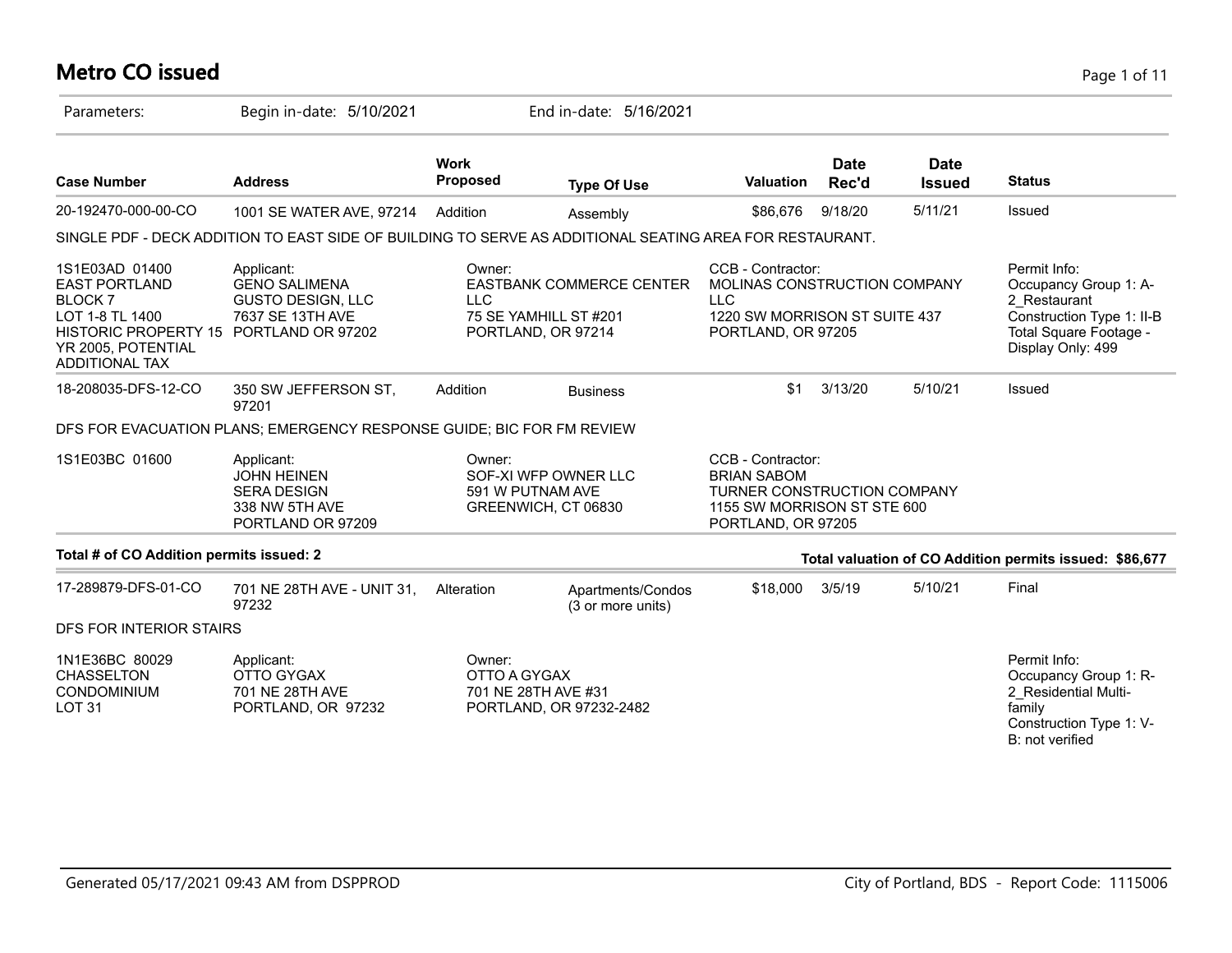### **Metro CO issued** Page 1 of 11

| Parameters:                                                                                                                                                         | Begin in-date: 5/10/2021                                                                                |                                                                           | End in-date: 5/16/2021                                                         |                                                                                                                             |                      |                              |                                                                                                                                   |
|---------------------------------------------------------------------------------------------------------------------------------------------------------------------|---------------------------------------------------------------------------------------------------------|---------------------------------------------------------------------------|--------------------------------------------------------------------------------|-----------------------------------------------------------------------------------------------------------------------------|----------------------|------------------------------|-----------------------------------------------------------------------------------------------------------------------------------|
| <b>Case Number</b>                                                                                                                                                  | <b>Address</b>                                                                                          | <b>Work</b><br><b>Proposed</b>                                            | <b>Type Of Use</b>                                                             | <b>Valuation</b>                                                                                                            | <b>Date</b><br>Rec'd | <b>Date</b><br><b>Issued</b> | <b>Status</b>                                                                                                                     |
| 20-192470-000-00-CO                                                                                                                                                 | 1001 SE WATER AVE, 97214                                                                                | Addition                                                                  | Assembly                                                                       | \$86,676                                                                                                                    | 9/18/20              | 5/11/21                      | Issued                                                                                                                            |
|                                                                                                                                                                     | SINGLE PDF - DECK ADDITION TO EAST SIDE OF BUILDING TO SERVE AS ADDITIONAL SEATING AREA FOR RESTAURANT. |                                                                           |                                                                                |                                                                                                                             |                      |                              |                                                                                                                                   |
| 1S1E03AD 01400<br><b>EAST PORTLAND</b><br><b>BLOCK7</b><br>LOT 1-8 TL 1400<br>HISTORIC PROPERTY 15 PORTLAND OR 97202<br>YR 2005, POTENTIAL<br><b>ADDITIONAL TAX</b> | Applicant:<br><b>GENO SALIMENA</b><br><b>GUSTO DESIGN, LLC</b><br>7637 SE 13TH AVE                      | Owner:<br><b>LLC</b>                                                      | <b>EASTBANK COMMERCE CENTER</b><br>75 SE YAMHILL ST #201<br>PORTLAND, OR 97214 | CCB - Contractor:<br>MOLINAS CONSTRUCTION COMPANY<br><b>LLC</b><br>1220 SW MORRISON ST SUITE 437<br>PORTLAND, OR 97205      |                      |                              | Permit Info:<br>Occupancy Group 1: A-<br>2 Restaurant<br>Construction Type 1: II-B<br>Total Square Footage -<br>Display Only: 499 |
| 18-208035-DFS-12-CO                                                                                                                                                 | 350 SW JEFFERSON ST,<br>97201                                                                           | Addition                                                                  | <b>Business</b>                                                                | \$1                                                                                                                         | 3/13/20              | 5/10/21                      | Issued                                                                                                                            |
|                                                                                                                                                                     | DFS FOR EVACUATION PLANS; EMERGENCY RESPONSE GUIDE; BIC FOR FM REVIEW                                   |                                                                           |                                                                                |                                                                                                                             |                      |                              |                                                                                                                                   |
| 1S1E03BC 01600                                                                                                                                                      | Applicant:<br><b>JOHN HEINEN</b><br><b>SERA DESIGN</b><br>338 NW 5TH AVE<br>PORTLAND OR 97209           | Owner:<br>SOF-XI WFP OWNER LLC<br>591 W PUTNAM AVE<br>GREENWICH, CT 06830 |                                                                                | CCB - Contractor:<br><b>BRIAN SABOM</b><br>TURNER CONSTRUCTION COMPANY<br>1155 SW MORRISON ST STE 600<br>PORTLAND, OR 97205 |                      |                              |                                                                                                                                   |
| Total # of CO Addition permits issued: 2                                                                                                                            |                                                                                                         |                                                                           |                                                                                |                                                                                                                             |                      |                              | Total valuation of CO Addition permits issued: \$86,677                                                                           |
| 17-289879-DFS-01-CO                                                                                                                                                 | 701 NE 28TH AVE - UNIT 31,<br>97232                                                                     | Alteration                                                                | Apartments/Condos<br>(3 or more units)                                         | \$18,000                                                                                                                    | 3/5/19               | 5/10/21                      | Final                                                                                                                             |
| DFS FOR INTERIOR STAIRS                                                                                                                                             |                                                                                                         |                                                                           |                                                                                |                                                                                                                             |                      |                              |                                                                                                                                   |
| 1N1E36BC 80029<br><b>CHASSELTON</b><br>CONDOMINIUM<br>LOT <sub>31</sub>                                                                                             | Applicant:<br>OTTO GYGAX<br>701 NE 28TH AVE<br>PORTLAND, OR 97232                                       | Owner:<br>OTTO A GYGAX<br>701 NE 28TH AVE #31                             | PORTLAND, OR 97232-2482                                                        |                                                                                                                             |                      |                              | Permit Info:<br>Occupancy Group 1: R-<br>2_Residential Multi-<br>family<br>Construction Type 1: V-<br>B: not verified             |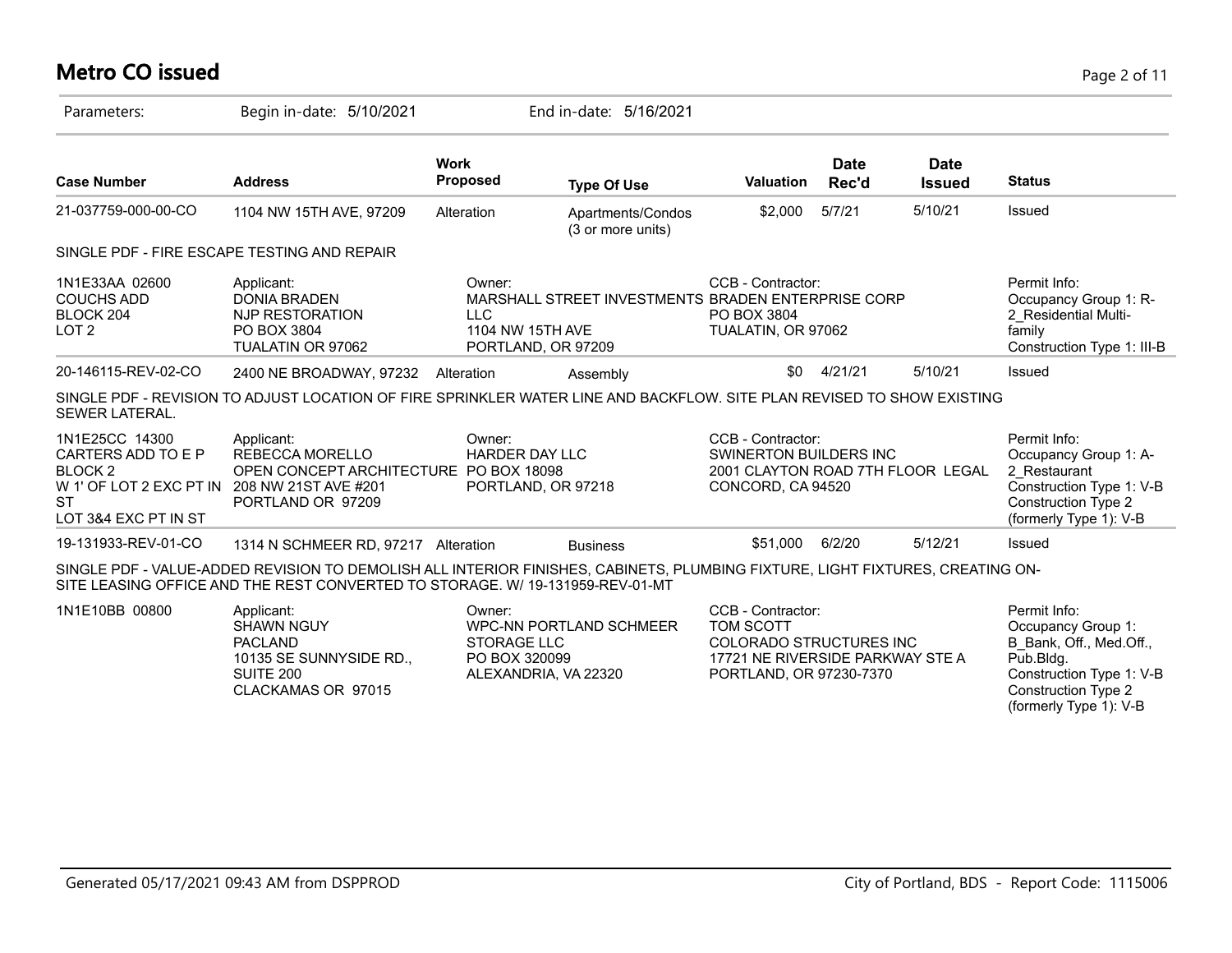### **Metro CO issued** Page 2 of 11

| Parameters:                                                                                                                | Begin in-date: 5/10/2021                                                                                                                                                                                       |                                                                       | End in-date: 5/16/2021                             |                                                                                                                                 |                      |                              |                                                                                                                                           |
|----------------------------------------------------------------------------------------------------------------------------|----------------------------------------------------------------------------------------------------------------------------------------------------------------------------------------------------------------|-----------------------------------------------------------------------|----------------------------------------------------|---------------------------------------------------------------------------------------------------------------------------------|----------------------|------------------------------|-------------------------------------------------------------------------------------------------------------------------------------------|
| <b>Case Number</b>                                                                                                         | <b>Address</b>                                                                                                                                                                                                 | <b>Work</b><br><b>Proposed</b>                                        | <b>Type Of Use</b>                                 | <b>Valuation</b>                                                                                                                | <b>Date</b><br>Rec'd | <b>Date</b><br><b>Issued</b> | <b>Status</b>                                                                                                                             |
| 21-037759-000-00-CO                                                                                                        | 1104 NW 15TH AVE, 97209                                                                                                                                                                                        | Alteration                                                            | Apartments/Condos<br>(3 or more units)             | \$2,000                                                                                                                         | 5/7/21               | 5/10/21                      | Issued                                                                                                                                    |
|                                                                                                                            | SINGLE PDF - FIRE ESCAPE TESTING AND REPAIR                                                                                                                                                                    |                                                                       |                                                    |                                                                                                                                 |                      |                              |                                                                                                                                           |
| 1N1E33AA 02600<br><b>COUCHS ADD</b><br>BLOCK 204<br>LOT <sub>2</sub>                                                       | Applicant:<br><b>DONIA BRADEN</b><br>NJP RESTORATION<br>PO BOX 3804<br>TUALATIN OR 97062                                                                                                                       | Owner:<br><b>LLC</b><br>1104 NW 15TH AVE<br>PORTLAND, OR 97209        | MARSHALL STREET INVESTMENTS BRADEN ENTERPRISE CORP | CCB - Contractor:<br>PO BOX 3804<br>TUALATIN, OR 97062                                                                          |                      |                              | Permit Info:<br>Occupancy Group 1: R-<br>2 Residential Multi-<br>family<br>Construction Type 1: III-B                                     |
| 20-146115-REV-02-CO                                                                                                        | 2400 NE BROADWAY, 97232 Alteration                                                                                                                                                                             |                                                                       | Assembly                                           | \$0                                                                                                                             | 4/21/21              | 5/10/21                      | Issued                                                                                                                                    |
| <b>SEWER LATERAL.</b>                                                                                                      | SINGLE PDF - REVISION TO ADJUST LOCATION OF FIRE SPRINKLER WATER LINE AND BACKFLOW. SITE PLAN REVISED TO SHOW EXISTING                                                                                         |                                                                       |                                                    |                                                                                                                                 |                      |                              |                                                                                                                                           |
| 1N1E25CC 14300<br>CARTERS ADD TO E P<br>BLOCK <sub>2</sub><br>W 1' OF LOT 2 EXC PT IN<br><b>ST</b><br>LOT 3&4 EXC PT IN ST | Applicant:<br><b>REBECCA MORELLO</b><br>OPEN CONCEPT ARCHITECTURE PO BOX 18098<br>208 NW 21ST AVE #201<br>PORTLAND OR 97209                                                                                    | Owner:<br><b>HARDER DAY LLC</b><br>PORTLAND, OR 97218                 |                                                    | CCB - Contractor:<br>SWINERTON BUILDERS INC<br>2001 CLAYTON ROAD 7TH FLOOR LEGAL<br>CONCORD, CA 94520                           |                      |                              | Permit Info:<br>Occupancy Group 1: A-<br>2 Restaurant<br>Construction Type 1: V-B<br><b>Construction Type 2</b><br>(formerly Type 1): V-B |
| 19-131933-REV-01-CO                                                                                                        | 1314 N SCHMEER RD, 97217 Alteration                                                                                                                                                                            |                                                                       | <b>Business</b>                                    | \$51,000                                                                                                                        | 6/2/20               | 5/12/21                      | Issued                                                                                                                                    |
|                                                                                                                            | SINGLE PDF - VALUE-ADDED REVISION TO DEMOLISH ALL INTERIOR FINISHES, CABINETS, PLUMBING FIXTURE, LIGHT FIXTURES, CREATING ON-<br>SITE LEASING OFFICE AND THE REST CONVERTED TO STORAGE. W/ 19-131959-REV-01-MT |                                                                       |                                                    |                                                                                                                                 |                      |                              |                                                                                                                                           |
| 1N1E10BB 00800                                                                                                             | Applicant:<br><b>SHAWN NGUY</b><br><b>PACLAND</b><br>10135 SE SUNNYSIDE RD.,<br>SUITE 200<br>CLACKAMAS OR 97015                                                                                                | Owner:<br><b>STORAGE LLC</b><br>PO BOX 320099<br>ALEXANDRIA, VA 22320 | WPC-NN PORTLAND SCHMEER                            | CCB - Contractor:<br>TOM SCOTT<br><b>COLORADO STRUCTURES INC</b><br>17721 NE RIVERSIDE PARKWAY STE A<br>PORTLAND, OR 97230-7370 |                      |                              | Permit Info:<br>Occupancy Group 1:<br>B Bank, Off., Med.Off.,<br>Pub.Bldg.<br>Construction Type 1: V-B<br><b>Construction Type 2</b>      |

(formerly Type 1): V-B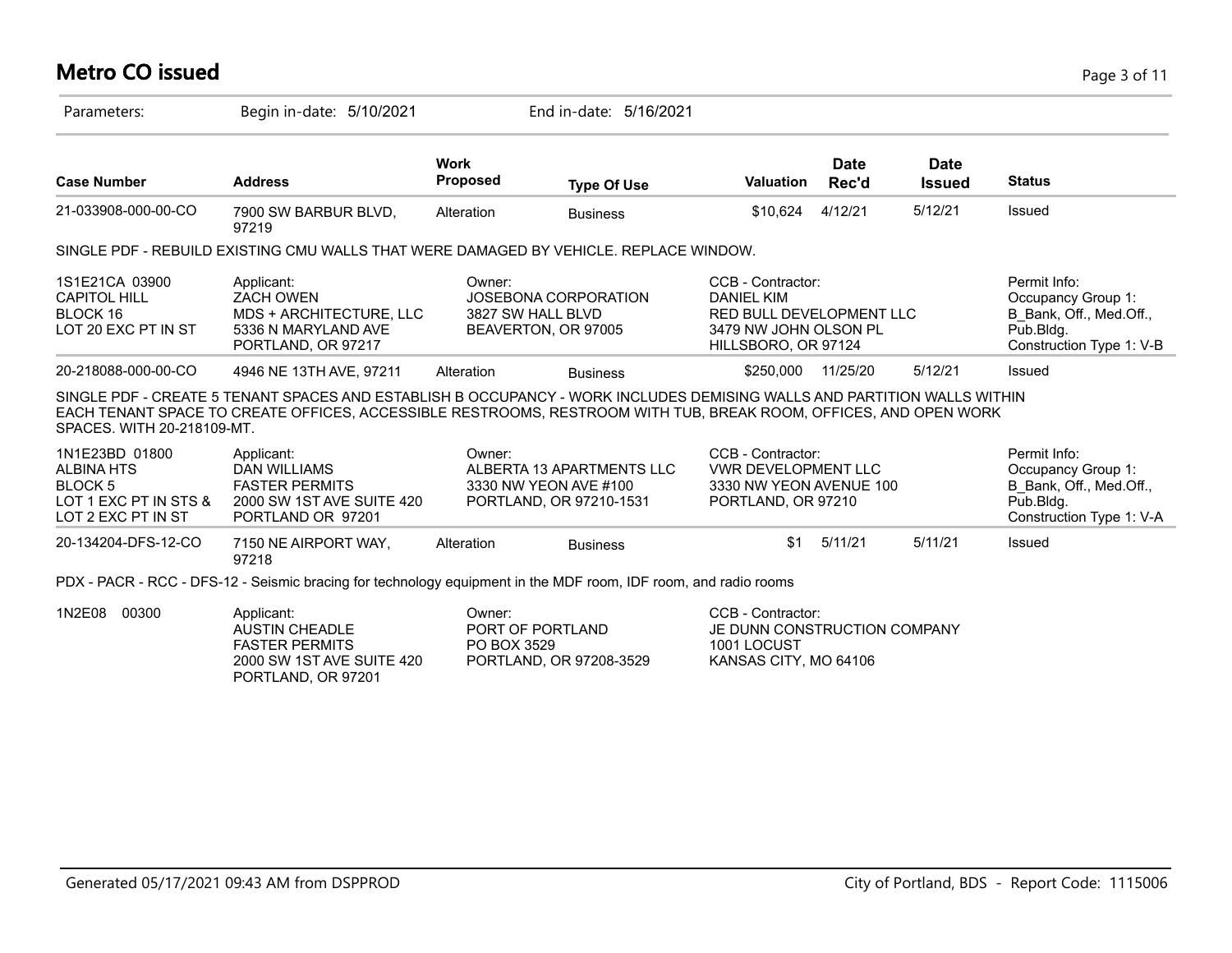# **Metro CO issued** Page 3 of 11

| Parameters:                                                                                          | Begin in-date: 5/10/2021                                                                                                                                                                                                                    |                                           | End in-date: 5/16/2021                                                        |                                                                                                                    |                      |                              |                                                                                                        |
|------------------------------------------------------------------------------------------------------|---------------------------------------------------------------------------------------------------------------------------------------------------------------------------------------------------------------------------------------------|-------------------------------------------|-------------------------------------------------------------------------------|--------------------------------------------------------------------------------------------------------------------|----------------------|------------------------------|--------------------------------------------------------------------------------------------------------|
| <b>Case Number</b>                                                                                   | <b>Address</b>                                                                                                                                                                                                                              | <b>Work</b><br><b>Proposed</b>            | <b>Type Of Use</b>                                                            | <b>Valuation</b>                                                                                                   | <b>Date</b><br>Rec'd | <b>Date</b><br><b>Issued</b> | <b>Status</b>                                                                                          |
| 21-033908-000-00-CO                                                                                  | 7900 SW BARBUR BLVD,<br>97219                                                                                                                                                                                                               | Alteration                                | <b>Business</b>                                                               | \$10,624                                                                                                           | 4/12/21              | 5/12/21                      | <b>Issued</b>                                                                                          |
|                                                                                                      | SINGLE PDF - REBUILD EXISTING CMU WALLS THAT WERE DAMAGED BY VEHICLE. REPLACE WINDOW.                                                                                                                                                       |                                           |                                                                               |                                                                                                                    |                      |                              |                                                                                                        |
| 1S1E21CA 03900<br><b>CAPITOL HILL</b><br>BLOCK 16<br>LOT 20 EXC PT IN ST                             | Applicant:<br><b>ZACH OWEN</b><br>MDS + ARCHITECTURE, LLC<br>5336 N MARYLAND AVE<br>PORTLAND, OR 97217                                                                                                                                      | Owner:<br>3827 SW HALL BLVD               | JOSEBONA CORPORATION<br>BEAVERTON, OR 97005                                   | CCB - Contractor:<br><b>DANIEL KIM</b><br>RED BULL DEVELOPMENT LLC<br>3479 NW JOHN OLSON PL<br>HILLSBORO, OR 97124 |                      |                              | Permit Info:<br>Occupancy Group 1:<br>B Bank, Off., Med.Off.,<br>Pub.Bldg.<br>Construction Type 1: V-B |
| 20-218088-000-00-CO                                                                                  | 4946 NE 13TH AVE, 97211                                                                                                                                                                                                                     | Alteration                                | <b>Business</b>                                                               | \$250,000                                                                                                          | 11/25/20             | 5/12/21                      | <b>Issued</b>                                                                                          |
| SPACES, WITH 20-218109-MT.                                                                           | SINGLE PDF - CREATE 5 TENANT SPACES AND ESTABLISH B OCCUPANCY - WORK INCLUDES DEMISING WALLS AND PARTITION WALLS WITHIN<br>EACH TENANT SPACE TO CREATE OFFICES, ACCESSIBLE RESTROOMS, RESTROOM WITH TUB, BREAK ROOM, OFFICES, AND OPEN WORK |                                           |                                                                               |                                                                                                                    |                      |                              |                                                                                                        |
| 1N1E23BD 01800<br><b>ALBINA HTS</b><br><b>BLOCK 5</b><br>LOT 1 EXC PT IN STS &<br>LOT 2 EXC PT IN ST | Applicant:<br><b>DAN WILLIAMS</b><br><b>FASTER PERMITS</b><br>2000 SW 1ST AVE SUITE 420<br>PORTLAND OR 97201                                                                                                                                | Owner:                                    | ALBERTA 13 APARTMENTS LLC<br>3330 NW YEON AVE #100<br>PORTLAND, OR 97210-1531 | CCB - Contractor:<br><b>VWR DEVELOPMENT LLC</b><br>3330 NW YEON AVENUE 100<br>PORTLAND, OR 97210                   |                      |                              | Permit Info:<br>Occupancy Group 1:<br>B Bank, Off., Med.Off.,<br>Pub.Bldg.<br>Construction Type 1: V-A |
| 20-134204-DFS-12-CO                                                                                  | 7150 NE AIRPORT WAY,<br>97218                                                                                                                                                                                                               | Alteration                                | <b>Business</b>                                                               | \$1                                                                                                                | 5/11/21              | 5/11/21                      | <b>Issued</b>                                                                                          |
|                                                                                                      | PDX - PACR - RCC - DFS-12 - Seismic bracing for technology equipment in the MDF room, IDF room, and radio rooms                                                                                                                             |                                           |                                                                               |                                                                                                                    |                      |                              |                                                                                                        |
| 1N2E08<br>00300                                                                                      | Applicant:<br><b>AUSTIN CHEADLE</b><br><b>FASTER PERMITS</b><br>2000 SW 1ST AVE SUITE 420<br>PORTLAND, OR 97201                                                                                                                             | Owner:<br>PORT OF PORTLAND<br>PO BOX 3529 | PORTLAND, OR 97208-3529                                                       | CCB - Contractor:<br>JE DUNN CONSTRUCTION COMPANY<br>1001 LOCUST<br>KANSAS CITY, MO 64106                          |                      |                              |                                                                                                        |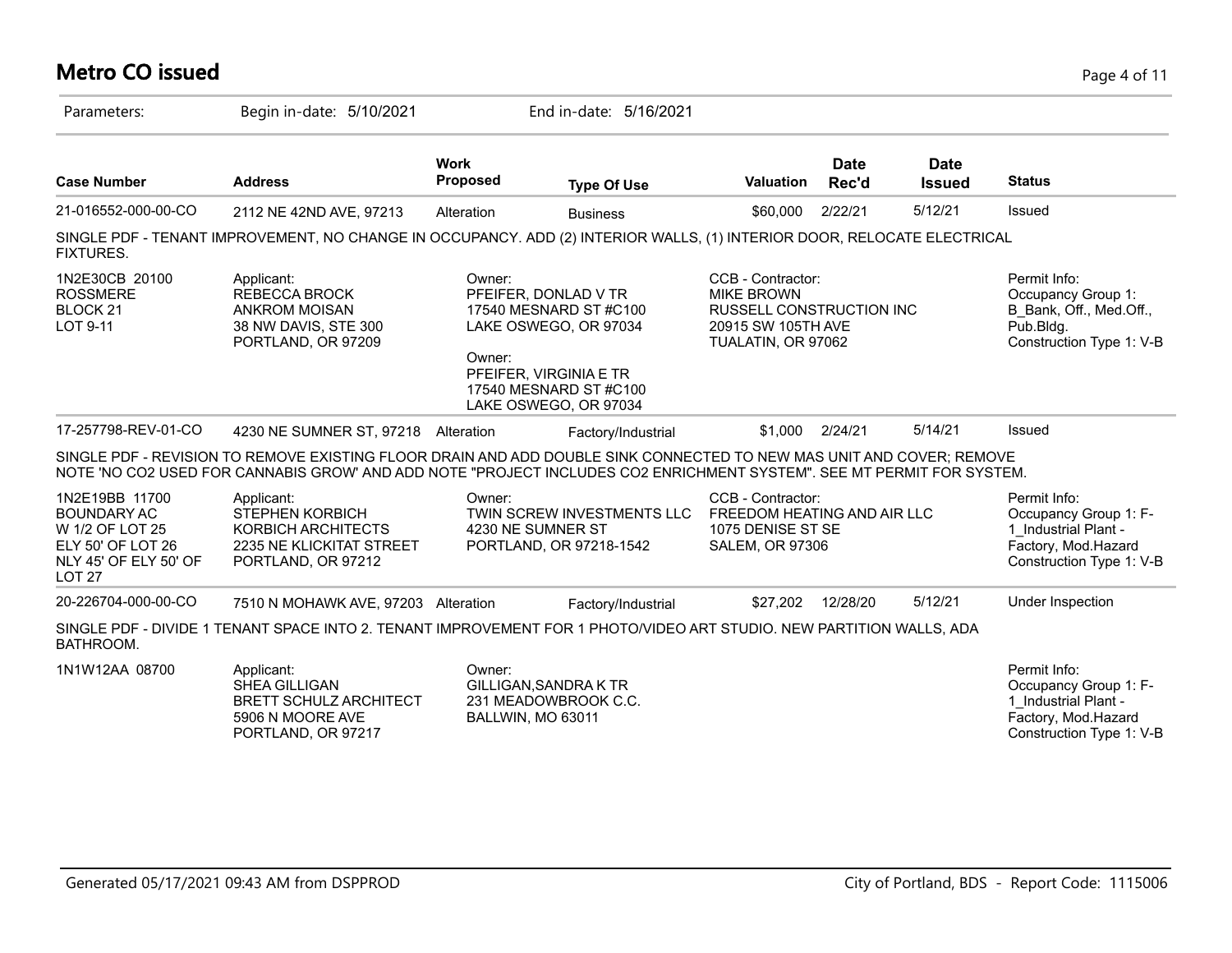| <b>Metro CO issued</b>                                                                                                     |                                                                                                                                                                                                                                               |                                |                                                                                                                                                      |                                                                                                                |                      |                              | Page 4 of 11                                                                                                     |
|----------------------------------------------------------------------------------------------------------------------------|-----------------------------------------------------------------------------------------------------------------------------------------------------------------------------------------------------------------------------------------------|--------------------------------|------------------------------------------------------------------------------------------------------------------------------------------------------|----------------------------------------------------------------------------------------------------------------|----------------------|------------------------------|------------------------------------------------------------------------------------------------------------------|
| Parameters:                                                                                                                | Begin in-date: 5/10/2021                                                                                                                                                                                                                      |                                | End in-date: 5/16/2021                                                                                                                               |                                                                                                                |                      |                              |                                                                                                                  |
| <b>Case Number</b>                                                                                                         | <b>Address</b>                                                                                                                                                                                                                                | <b>Work</b><br><b>Proposed</b> | <b>Type Of Use</b>                                                                                                                                   | <b>Valuation</b>                                                                                               | <b>Date</b><br>Rec'd | <b>Date</b><br><b>Issued</b> | <b>Status</b>                                                                                                    |
| 21-016552-000-00-CO                                                                                                        | 2112 NE 42ND AVE, 97213                                                                                                                                                                                                                       | Alteration                     | <b>Business</b>                                                                                                                                      | \$60,000                                                                                                       | 2/22/21              | 5/12/21                      | Issued                                                                                                           |
| <b>FIXTURES.</b>                                                                                                           | SINGLE PDF - TENANT IMPROVEMENT, NO CHANGE IN OCCUPANCY. ADD (2) INTERIOR WALLS, (1) INTERIOR DOOR, RELOCATE ELECTRICAL                                                                                                                       |                                |                                                                                                                                                      |                                                                                                                |                      |                              |                                                                                                                  |
| 1N2E30CB 20100<br><b>ROSSMERE</b><br>BLOCK <sub>21</sub><br>LOT 9-11                                                       | Applicant:<br><b>REBECCA BROCK</b><br><b>ANKROM MOISAN</b><br>38 NW DAVIS, STE 300<br>PORTLAND, OR 97209                                                                                                                                      | Owner:<br>Owner:               | PFEIFER, DONLAD V TR<br>17540 MESNARD ST #C100<br>LAKE OSWEGO, OR 97034<br>PFEIFER, VIRGINIA E TR<br>17540 MESNARD ST #C100<br>LAKE OSWEGO, OR 97034 | CCB - Contractor:<br><b>MIKE BROWN</b><br>RUSSELL CONSTRUCTION INC<br>20915 SW 105TH AVE<br>TUALATIN, OR 97062 |                      |                              | Permit Info:<br>Occupancy Group 1:<br>B_Bank, Off., Med.Off.,<br>Pub.Bldg.<br>Construction Type 1: V-B           |
| 17-257798-REV-01-CO                                                                                                        | 4230 NE SUMNER ST, 97218 Alteration                                                                                                                                                                                                           |                                | Factory/Industrial                                                                                                                                   | \$1,000                                                                                                        | 2/24/21              | 5/14/21                      | Issued                                                                                                           |
|                                                                                                                            | SINGLE PDF - REVISION TO REMOVE EXISTING FLOOR DRAIN AND ADD DOUBLE SINK CONNECTED TO NEW MAS UNIT AND COVER; REMOVE<br>NOTE 'NO CO2 USED FOR CANNABIS GROW' AND ADD NOTE "PROJECT INCLUDES CO2 ENRICHMENT SYSTEM". SEE MT PERMIT FOR SYSTEM. |                                |                                                                                                                                                      |                                                                                                                |                      |                              |                                                                                                                  |
| 1N2E19BB 11700<br><b>BOUNDARY AC</b><br>W 1/2 OF LOT 25<br>ELY 50' OF LOT 26<br>NLY 45' OF ELY 50' OF<br>LOT <sub>27</sub> | Applicant:<br><b>STEPHEN KORBICH</b><br>KORBICH ARCHITECTS<br>2235 NE KLICKITAT STREET<br>PORTLAND, OR 97212                                                                                                                                  | Owner:<br>4230 NE SUMNER ST    | TWIN SCREW INVESTMENTS LLC<br>PORTLAND, OR 97218-1542                                                                                                | CCB - Contractor:<br>FREEDOM HEATING AND AIR LLC<br>1075 DENISE ST SE<br><b>SALEM, OR 97306</b>                |                      |                              | Permit Info:<br>Occupancy Group 1: F-<br>1 Industrial Plant -<br>Factory, Mod.Hazard<br>Construction Type 1: V-B |
| 20-226704-000-00-CO                                                                                                        | 7510 N MOHAWK AVE, 97203 Alteration                                                                                                                                                                                                           |                                | Factory/Industrial                                                                                                                                   | \$27,202                                                                                                       | 12/28/20             | 5/12/21                      | Under Inspection                                                                                                 |
| BATHROOM.                                                                                                                  | SINGLE PDF - DIVIDE 1 TENANT SPACE INTO 2. TENANT IMPROVEMENT FOR 1 PHOTO/VIDEO ART STUDIO. NEW PARTITION WALLS, ADA                                                                                                                          |                                |                                                                                                                                                      |                                                                                                                |                      |                              |                                                                                                                  |
| 1N1W12AA 08700                                                                                                             | Applicant:<br><b>SHEA GILLIGAN</b><br><b>BRETT SCHULZ ARCHITECT</b><br>5906 N MOORE AVE<br>PORTLAND, OR 97217                                                                                                                                 | Owner:<br>BALLWIN, MO 63011    | GILLIGAN, SANDRA K TR<br>231 MEADOWBROOK C.C.                                                                                                        |                                                                                                                |                      |                              | Permit Info:<br>Occupancy Group 1: F-<br>1 Industrial Plant -<br>Factory, Mod.Hazard<br>Construction Type 1: V-B |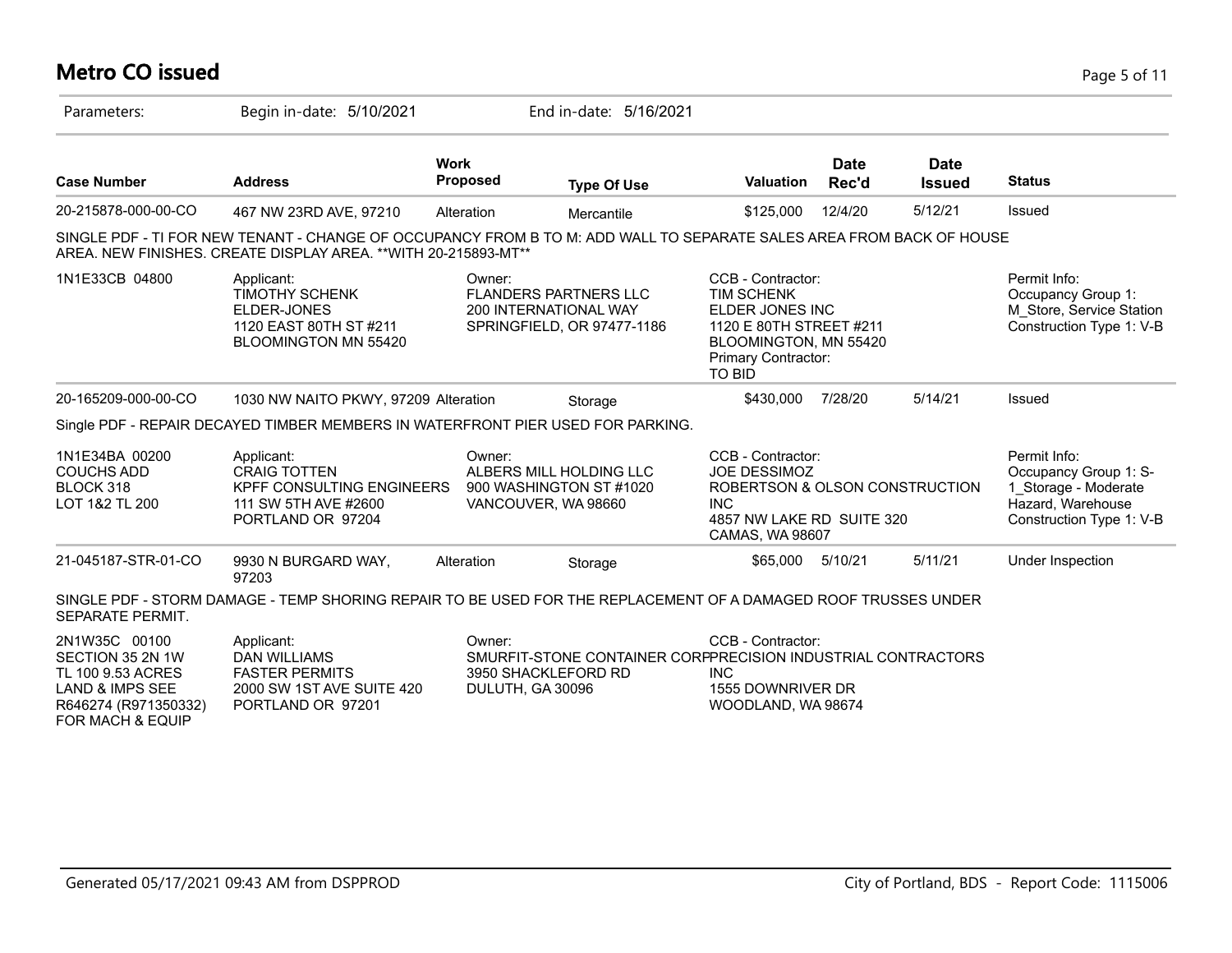# **Metro CO issued** Page 5 of 11

| Parameters:                                                                                                                      | Begin in-date: 5/10/2021                                                                                                                                                                |                                                                        | End in-date: 5/16/2021                                       |                                                                                                                                                 |                      |                              |                                                                                                                |
|----------------------------------------------------------------------------------------------------------------------------------|-----------------------------------------------------------------------------------------------------------------------------------------------------------------------------------------|------------------------------------------------------------------------|--------------------------------------------------------------|-------------------------------------------------------------------------------------------------------------------------------------------------|----------------------|------------------------------|----------------------------------------------------------------------------------------------------------------|
| <b>Case Number</b>                                                                                                               | <b>Address</b>                                                                                                                                                                          | <b>Work</b><br><b>Proposed</b>                                         | <b>Type Of Use</b>                                           | <b>Valuation</b>                                                                                                                                | <b>Date</b><br>Rec'd | <b>Date</b><br><b>Issued</b> | <b>Status</b>                                                                                                  |
| 20-215878-000-00-CO                                                                                                              | 467 NW 23RD AVE, 97210                                                                                                                                                                  | Alteration                                                             | Mercantile                                                   | \$125,000                                                                                                                                       | 12/4/20              | 5/12/21                      | Issued                                                                                                         |
|                                                                                                                                  | SINGLE PDF - TI FOR NEW TENANT - CHANGE OF OCCUPANCY FROM B TO M: ADD WALL TO SEPARATE SALES AREA FROM BACK OF HOUSE<br>AREA. NEW FINISHES. CREATE DISPLAY AREA. ** WITH 20-215893-MT** |                                                                        |                                                              |                                                                                                                                                 |                      |                              |                                                                                                                |
| 1N1E33CB 04800                                                                                                                   | Applicant:<br><b>TIMOTHY SCHENK</b><br>ELDER-JONES<br>1120 EAST 80TH ST #211<br>BLOOMINGTON MN 55420                                                                                    | Owner:<br><b>FLANDERS PARTNERS LLC</b><br><b>200 INTERNATIONAL WAY</b> | SPRINGFIELD, OR 97477-1186                                   | CCB - Contractor:<br><b>TIM SCHENK</b><br>ELDER JONES INC<br>1120 E 80TH STREET #211<br>BLOOMINGTON, MN 55420<br>Primary Contractor:<br>TO BID  |                      |                              | Permit Info:<br>Occupancy Group 1:<br>M Store, Service Station<br>Construction Type 1: V-B                     |
| 20-165209-000-00-CO                                                                                                              | 1030 NW NAITO PKWY, 97209 Alteration                                                                                                                                                    |                                                                        | Storage                                                      | \$430,000                                                                                                                                       | 7/28/20              | 5/14/21                      | Issued                                                                                                         |
|                                                                                                                                  | Single PDF - REPAIR DECAYED TIMBER MEMBERS IN WATERFRONT PIER USED FOR PARKING.                                                                                                         |                                                                        |                                                              |                                                                                                                                                 |                      |                              |                                                                                                                |
| 1N1E34BA 00200<br><b>COUCHS ADD</b><br>BLOCK 318<br>LOT 1&2 TL 200                                                               | Applicant:<br><b>CRAIG TOTTEN</b><br><b>KPFF CONSULTING ENGINEERS</b><br>111 SW 5TH AVE #2600<br>PORTLAND OR 97204                                                                      | Owner:<br>900 WASHINGTON ST #1020<br>VANCOUVER, WA 98660               | ALBERS MILL HOLDING LLC                                      | CCB - Contractor:<br><b>JOE DESSIMOZ</b><br>ROBERTSON & OLSON CONSTRUCTION<br><b>INC</b><br>4857 NW LAKE RD SUITE 320<br><b>CAMAS, WA 98607</b> |                      |                              | Permit Info:<br>Occupancy Group 1: S-<br>1 Storage - Moderate<br>Hazard, Warehouse<br>Construction Type 1: V-B |
| 21-045187-STR-01-CO                                                                                                              | 9930 N BURGARD WAY,<br>97203                                                                                                                                                            | Alteration                                                             | Storage                                                      | \$65,000                                                                                                                                        | 5/10/21              | 5/11/21                      | Under Inspection                                                                                               |
| SEPARATE PERMIT.                                                                                                                 | SINGLE PDF - STORM DAMAGE - TEMP SHORING REPAIR TO BE USED FOR THE REPLACEMENT OF A DAMAGED ROOF TRUSSES UNDER                                                                          |                                                                        |                                                              |                                                                                                                                                 |                      |                              |                                                                                                                |
| 2N1W35C 00100<br>SECTION 35 2N 1W<br>TL 100 9.53 ACRES<br>LAND & IMPS SEE<br>R646274 (R971350332)<br><b>FOR MACH &amp; EQUIP</b> | Applicant:<br><b>DAN WILLIAMS</b><br><b>FASTER PERMITS</b><br>2000 SW 1ST AVE SUITE 420<br>PORTLAND OR 97201                                                                            | Owner:<br>3950 SHACKLEFORD RD<br>DULUTH, GA 30096                      | SMURFIT-STONE CONTAINER CORPPRECISION INDUSTRIAL CONTRACTORS | CCB - Contractor:<br><b>INC</b><br>1555 DOWNRIVER DR<br>WOODLAND, WA 98674                                                                      |                      |                              |                                                                                                                |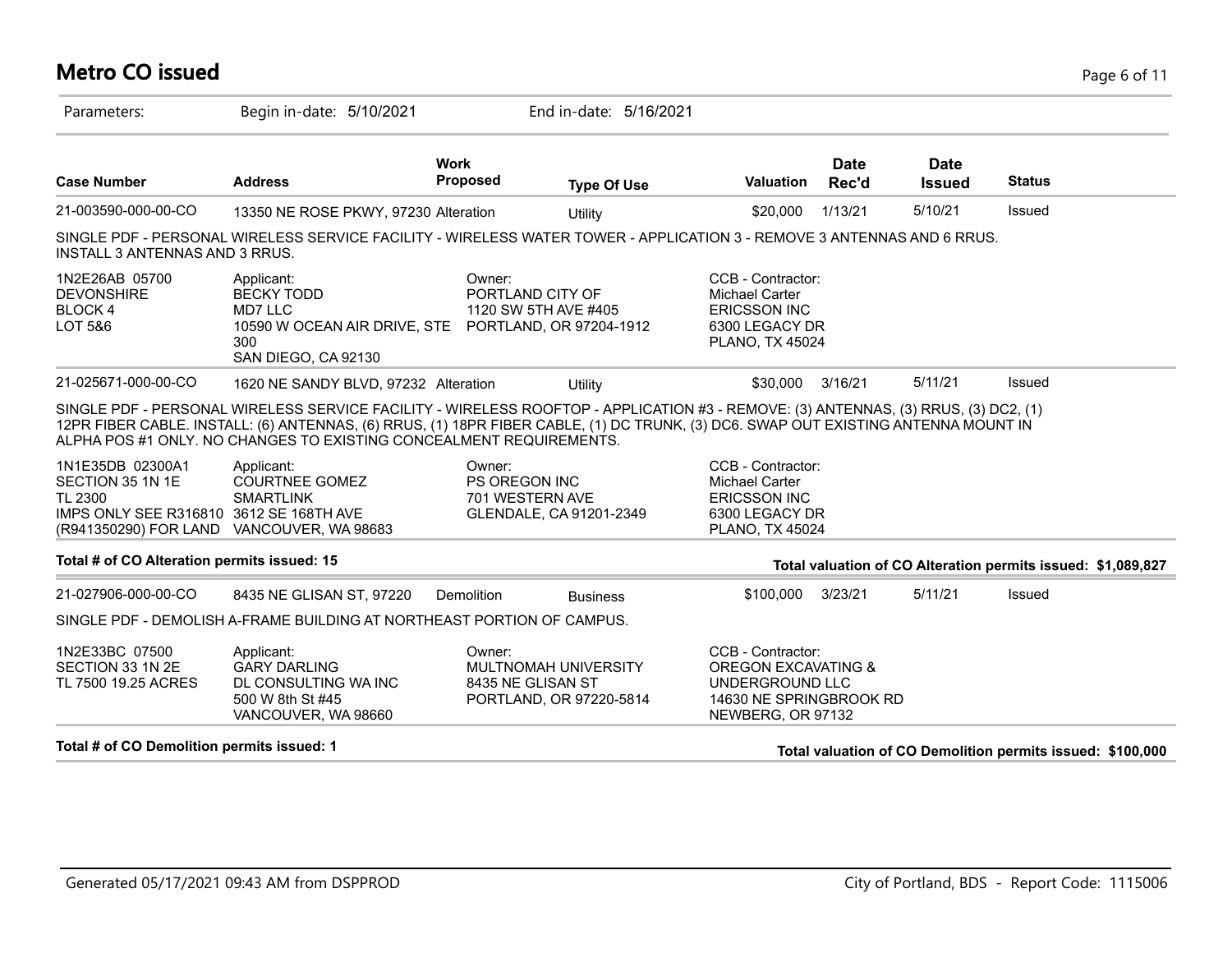# **Metro CO issued** Page 6 of 11

| Parameters:                                                                                                                             | Begin in-date: 5/10/2021                                                                                                                                                                                                                                                                                                                        |                                                    | End in-date: 5/16/2021                          |                                                                                                               |                      |                              |                                                              |
|-----------------------------------------------------------------------------------------------------------------------------------------|-------------------------------------------------------------------------------------------------------------------------------------------------------------------------------------------------------------------------------------------------------------------------------------------------------------------------------------------------|----------------------------------------------------|-------------------------------------------------|---------------------------------------------------------------------------------------------------------------|----------------------|------------------------------|--------------------------------------------------------------|
| <b>Case Number</b>                                                                                                                      | <b>Address</b>                                                                                                                                                                                                                                                                                                                                  | <b>Work</b><br><b>Proposed</b>                     | <b>Type Of Use</b>                              | Valuation                                                                                                     | <b>Date</b><br>Rec'd | <b>Date</b><br><b>Issued</b> | <b>Status</b>                                                |
| 21-003590-000-00-CO                                                                                                                     | 13350 NE ROSE PKWY, 97230 Alteration                                                                                                                                                                                                                                                                                                            |                                                    | Utility                                         | \$20,000                                                                                                      | 1/13/21              | 5/10/21                      | Issued                                                       |
| INSTALL 3 ANTENNAS AND 3 RRUS.                                                                                                          | SINGLE PDF - PERSONAL WIRELESS SERVICE FACILITY - WIRELESS WATER TOWER - APPLICATION 3 - REMOVE 3 ANTENNAS AND 6 RRUS.                                                                                                                                                                                                                          |                                                    |                                                 |                                                                                                               |                      |                              |                                                              |
| 1N2E26AB 05700<br><b>DEVONSHIRE</b><br><b>BLOCK4</b><br>LOT 5&6                                                                         | Applicant:<br><b>BECKY TODD</b><br>MD7 LLC<br>10590 W OCEAN AIR DRIVE, STE PORTLAND, OR 97204-1912<br>300<br>SAN DIEGO, CA 92130                                                                                                                                                                                                                | Owner:<br>PORTLAND CITY OF<br>1120 SW 5TH AVE #405 |                                                 | CCB - Contractor:<br><b>Michael Carter</b><br><b>ERICSSON INC</b><br>6300 LEGACY DR<br><b>PLANO, TX 45024</b> |                      |                              |                                                              |
| 21-025671-000-00-CO                                                                                                                     | 1620 NE SANDY BLVD, 97232 Alteration                                                                                                                                                                                                                                                                                                            |                                                    | <b>Utility</b>                                  | \$30,000                                                                                                      | 3/16/21              | 5/11/21                      | Issued                                                       |
|                                                                                                                                         | SINGLE PDF - PERSONAL WIRELESS SERVICE FACILITY - WIRELESS ROOFTOP - APPLICATION #3 - REMOVE: (3) ANTENNAS, (3) RRUS, (3) DC2, (1)<br>12PR FIBER CABLE. INSTALL: (6) ANTENNAS, (6) RRUS, (1) 18PR FIBER CABLE, (1) DC TRUNK, (3) DC6. SWAP OUT EXISTING ANTENNA MOUNT IN<br>ALPHA POS #1 ONLY. NO CHANGES TO EXISTING CONCEALMENT REQUIREMENTS. |                                                    |                                                 |                                                                                                               |                      |                              |                                                              |
| 1N1E35DB 02300A1<br>SECTION 35 1N 1E<br>TL 2300<br>IMPS ONLY SEE R316810 3612 SE 168TH AVE<br>(R941350290) FOR LAND VANCOUVER, WA 98683 | Applicant:<br><b>COURTNEE GOMEZ</b><br><b>SMARTLINK</b>                                                                                                                                                                                                                                                                                         | Owner:<br><b>PS OREGON INC</b><br>701 WESTERN AVE  | GLENDALE, CA 91201-2349                         | CCB - Contractor:<br>Michael Carter<br><b>ERICSSON INC</b><br>6300 LEGACY DR<br><b>PLANO, TX 45024</b>        |                      |                              |                                                              |
| Total # of CO Alteration permits issued: 15                                                                                             |                                                                                                                                                                                                                                                                                                                                                 |                                                    |                                                 |                                                                                                               |                      |                              | Total valuation of CO Alteration permits issued: \$1,089,827 |
| 21-027906-000-00-CO                                                                                                                     | 8435 NE GLISAN ST, 97220                                                                                                                                                                                                                                                                                                                        | Demolition                                         | <b>Business</b>                                 | \$100,000                                                                                                     | 3/23/21              | 5/11/21                      | Issued                                                       |
|                                                                                                                                         | SINGLE PDF - DEMOLISH A-FRAME BUILDING AT NORTHEAST PORTION OF CAMPUS.                                                                                                                                                                                                                                                                          |                                                    |                                                 |                                                                                                               |                      |                              |                                                              |
| 1N2E33BC 07500<br>SECTION 33 1N 2E<br>TL 7500 19.25 ACRES                                                                               | Applicant:<br><b>GARY DARLING</b><br>DL CONSULTING WA INC<br>500 W 8th St #45<br>VANCOUVER, WA 98660                                                                                                                                                                                                                                            | Owner:<br>8435 NE GLISAN ST                        | MULTNOMAH UNIVERSITY<br>PORTLAND, OR 97220-5814 | CCB - Contractor:<br>OREGON EXCAVATING &<br>UNDERGROUND LLC<br>14630 NE SPRINGBROOK RD<br>NEWBERG, OR 97132   |                      |                              |                                                              |
| Total # of CO Demolition permits issued: 1                                                                                              |                                                                                                                                                                                                                                                                                                                                                 |                                                    |                                                 |                                                                                                               |                      |                              | Total valuation of CO Demolition permits issued: \$100,000   |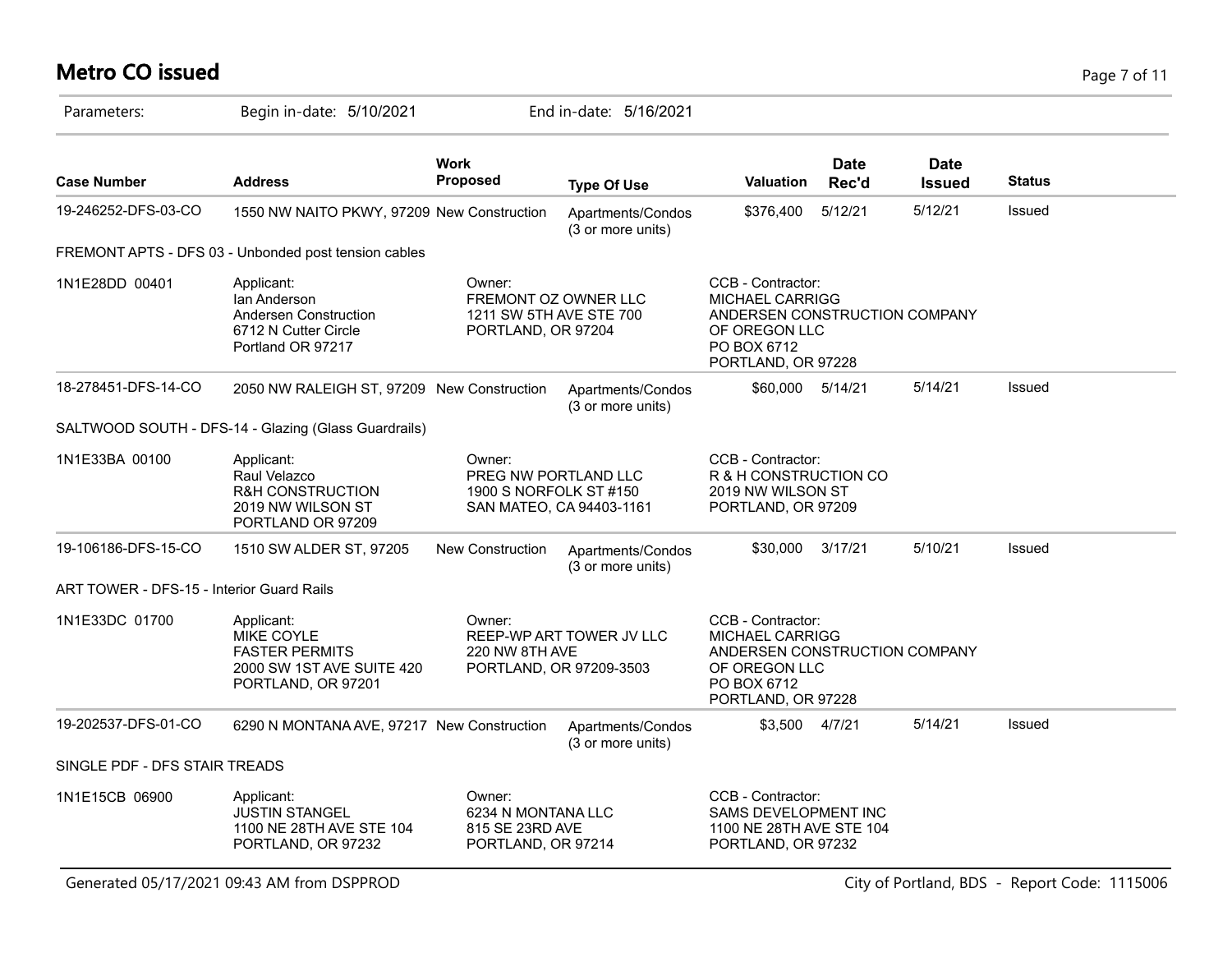# **Metro CO issued** Page 7 of 11

| Parameters:                               | Begin in-date: 5/10/2021                                                                                    |                                                                                 | End in-date: 5/16/2021                              |                                                                                                                                    |                      |                              |               |
|-------------------------------------------|-------------------------------------------------------------------------------------------------------------|---------------------------------------------------------------------------------|-----------------------------------------------------|------------------------------------------------------------------------------------------------------------------------------------|----------------------|------------------------------|---------------|
| <b>Case Number</b>                        | <b>Address</b>                                                                                              | <b>Work</b><br>Proposed                                                         | <b>Type Of Use</b>                                  | <b>Valuation</b>                                                                                                                   | <b>Date</b><br>Rec'd | <b>Date</b><br><b>Issued</b> | <b>Status</b> |
| 19-246252-DFS-03-CO                       | 1550 NW NAITO PKWY, 97209 New Construction                                                                  |                                                                                 | Apartments/Condos<br>(3 or more units)              | \$376,400                                                                                                                          | 5/12/21              | 5/12/21                      | Issued        |
|                                           | FREMONT APTS - DFS 03 - Unbonded post tension cables                                                        |                                                                                 |                                                     |                                                                                                                                    |                      |                              |               |
| 1N1E28DD 00401                            | Applicant:<br>lan Anderson<br>Andersen Construction<br>6712 N Cutter Circle<br>Portland OR 97217            | Owner:<br>FREMONT OZ OWNER LLC<br>1211 SW 5TH AVE STE 700<br>PORTLAND, OR 97204 |                                                     | CCB - Contractor:<br><b>MICHAEL CARRIGG</b><br>ANDERSEN CONSTRUCTION COMPANY<br>OF OREGON LLC<br>PO BOX 6712<br>PORTLAND, OR 97228 |                      |                              |               |
| 18-278451-DFS-14-CO                       | 2050 NW RALEIGH ST, 97209 New Construction                                                                  |                                                                                 | Apartments/Condos<br>(3 or more units)              | \$60,000                                                                                                                           | 5/14/21              | 5/14/21                      | Issued        |
|                                           | SALTWOOD SOUTH - DFS-14 - Glazing (Glass Guardrails)                                                        |                                                                                 |                                                     |                                                                                                                                    |                      |                              |               |
| 1N1E33BA 00100                            | Applicant:<br>Raul Velazco<br>R&H CONSTRUCTION<br>2019 NW WILSON ST<br>PORTLAND OR 97209                    | Owner:<br>PREG NW PORTLAND LLC<br>1900 S NORFOLK ST #150                        | SAN MATEO, CA 94403-1161                            | CCB - Contractor:<br>R & H CONSTRUCTION CO<br>2019 NW WILSON ST<br>PORTLAND, OR 97209                                              |                      |                              |               |
| 19-106186-DFS-15-CO                       | 1510 SW ALDER ST, 97205                                                                                     | New Construction                                                                | Apartments/Condos<br>(3 or more units)              | \$30,000                                                                                                                           | 3/17/21              | 5/10/21                      | Issued        |
| ART TOWER - DFS-15 - Interior Guard Rails |                                                                                                             |                                                                                 |                                                     |                                                                                                                                    |                      |                              |               |
| 1N1E33DC 01700                            | Applicant:<br><b>MIKE COYLE</b><br><b>FASTER PERMITS</b><br>2000 SW 1ST AVE SUITE 420<br>PORTLAND, OR 97201 | Owner:<br>220 NW 8TH AVE                                                        | REEP-WP ART TOWER JV LLC<br>PORTLAND, OR 97209-3503 | CCB - Contractor:<br><b>MICHAEL CARRIGG</b><br>ANDERSEN CONSTRUCTION COMPANY<br>OF OREGON LLC<br>PO BOX 6712<br>PORTLAND, OR 97228 |                      |                              |               |
| 19-202537-DFS-01-CO                       | 6290 N MONTANA AVE, 97217 New Construction                                                                  |                                                                                 | Apartments/Condos<br>(3 or more units)              | \$3,500 4/7/21                                                                                                                     |                      | 5/14/21                      | Issued        |
| SINGLE PDF - DFS STAIR TREADS             |                                                                                                             |                                                                                 |                                                     |                                                                                                                                    |                      |                              |               |
| 1N1E15CB 06900                            | Applicant:<br><b>JUSTIN STANGEL</b><br>1100 NE 28TH AVE STE 104<br>PORTLAND, OR 97232                       | Owner:<br>6234 N MONTANA LLC<br>815 SE 23RD AVE<br>PORTLAND, OR 97214           |                                                     | CCB - Contractor:<br>SAMS DEVELOPMENT INC<br>1100 NE 28TH AVE STE 104<br>PORTLAND, OR 97232                                        |                      |                              |               |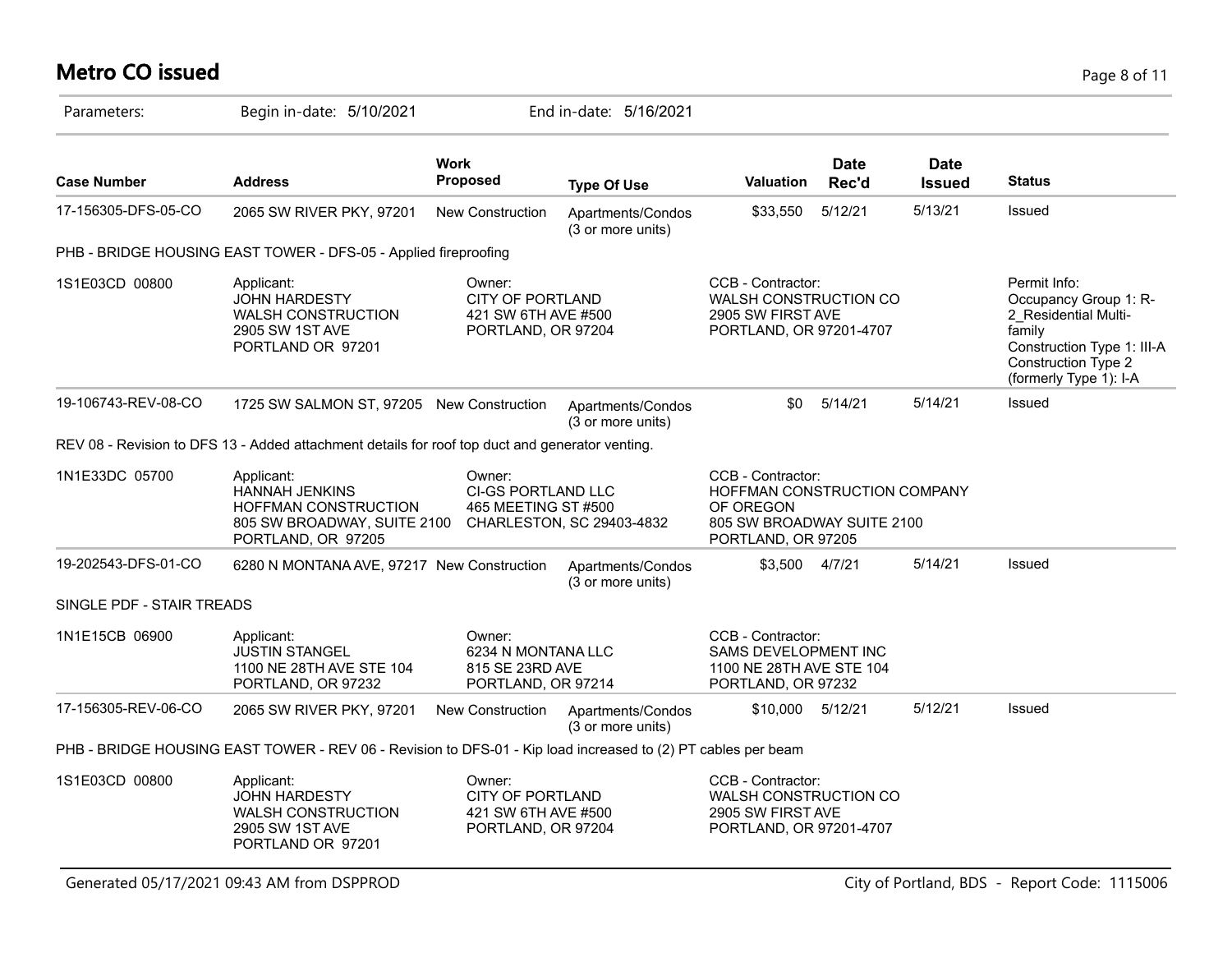# **Metro CO issued** Page 8 of 11

| Parameters:               | Begin in-date: 5/10/2021                                                                                         |                                                                                | End in-date: 5/16/2021                 |                                                                                                                    |                      |                              |                                                                                                                                                        |
|---------------------------|------------------------------------------------------------------------------------------------------------------|--------------------------------------------------------------------------------|----------------------------------------|--------------------------------------------------------------------------------------------------------------------|----------------------|------------------------------|--------------------------------------------------------------------------------------------------------------------------------------------------------|
| <b>Case Number</b>        | <b>Address</b>                                                                                                   | <b>Work</b><br>Proposed                                                        | <b>Type Of Use</b>                     | <b>Valuation</b>                                                                                                   | <b>Date</b><br>Rec'd | <b>Date</b><br><b>Issued</b> | <b>Status</b>                                                                                                                                          |
| 17-156305-DFS-05-CO       | 2065 SW RIVER PKY, 97201                                                                                         | New Construction                                                               | Apartments/Condos<br>(3 or more units) | \$33,550                                                                                                           | 5/12/21              | 5/13/21                      | Issued                                                                                                                                                 |
|                           | PHB - BRIDGE HOUSING EAST TOWER - DFS-05 - Applied fireproofing                                                  |                                                                                |                                        |                                                                                                                    |                      |                              |                                                                                                                                                        |
| 1S1E03CD 00800            | Applicant:<br><b>JOHN HARDESTY</b><br><b>WALSH CONSTRUCTION</b><br>2905 SW 1ST AVE<br>PORTLAND OR 97201          | Owner:<br><b>CITY OF PORTLAND</b><br>421 SW 6TH AVE #500<br>PORTLAND, OR 97204 |                                        | CCB - Contractor:<br><b>WALSH CONSTRUCTION CO</b><br>2905 SW FIRST AVE<br>PORTLAND, OR 97201-4707                  |                      |                              | Permit Info:<br>Occupancy Group 1: R-<br>2 Residential Multi-<br>family<br>Construction Type 1: III-A<br>Construction Type 2<br>(formerly Type 1): I-A |
| 19-106743-REV-08-CO       | 1725 SW SALMON ST, 97205 New Construction                                                                        |                                                                                | Apartments/Condos<br>(3 or more units) | \$0                                                                                                                | 5/14/21              | 5/14/21                      | Issued                                                                                                                                                 |
|                           | REV 08 - Revision to DFS 13 - Added attachment details for roof top duct and generator venting.                  |                                                                                |                                        |                                                                                                                    |                      |                              |                                                                                                                                                        |
| 1N1E33DC 05700            | Applicant:<br><b>HANNAH JENKINS</b><br>HOFFMAN CONSTRUCTION<br>805 SW BROADWAY, SUITE 2100<br>PORTLAND, OR 97205 | Owner:<br><b>CI-GS PORTLAND LLC</b><br>465 MEETING ST #500                     | CHARLESTON, SC 29403-4832              | CCB - Contractor:<br>HOFFMAN CONSTRUCTION COMPANY<br>OF OREGON<br>805 SW BROADWAY SUITE 2100<br>PORTLAND, OR 97205 |                      |                              |                                                                                                                                                        |
| 19-202543-DFS-01-CO       | 6280 N MONTANA AVE, 97217 New Construction                                                                       |                                                                                | Apartments/Condos<br>(3 or more units) | \$3,500                                                                                                            | 4/7/21               | 5/14/21                      | Issued                                                                                                                                                 |
| SINGLE PDF - STAIR TREADS |                                                                                                                  |                                                                                |                                        |                                                                                                                    |                      |                              |                                                                                                                                                        |
| 1N1E15CB 06900            | Applicant:<br><b>JUSTIN STANGEL</b><br>1100 NE 28TH AVE STE 104<br>PORTLAND, OR 97232                            | Owner:<br>6234 N MONTANA LLC<br>815 SE 23RD AVE<br>PORTLAND, OR 97214          |                                        | CCB - Contractor:<br><b>SAMS DEVELOPMENT INC</b><br>1100 NE 28TH AVE STE 104<br>PORTLAND, OR 97232                 |                      |                              |                                                                                                                                                        |
| 17-156305-REV-06-CO       | 2065 SW RIVER PKY, 97201                                                                                         | New Construction                                                               | Apartments/Condos<br>(3 or more units) | \$10,000                                                                                                           | 5/12/21              | 5/12/21                      | Issued                                                                                                                                                 |
|                           | PHB - BRIDGE HOUSING EAST TOWER - REV 06 - Revision to DFS-01 - Kip load increased to (2) PT cables per beam     |                                                                                |                                        |                                                                                                                    |                      |                              |                                                                                                                                                        |
| 1S1E03CD 00800            | Applicant:<br><b>JOHN HARDESTY</b><br><b>WALSH CONSTRUCTION</b><br>2905 SW 1ST AVE<br>PORTLAND OR 97201          | Owner:<br><b>CITY OF PORTLAND</b><br>421 SW 6TH AVE #500<br>PORTLAND, OR 97204 |                                        | CCB - Contractor:<br><b>WALSH CONSTRUCTION CO</b><br>2905 SW FIRST AVE<br>PORTLAND, OR 97201-4707                  |                      |                              |                                                                                                                                                        |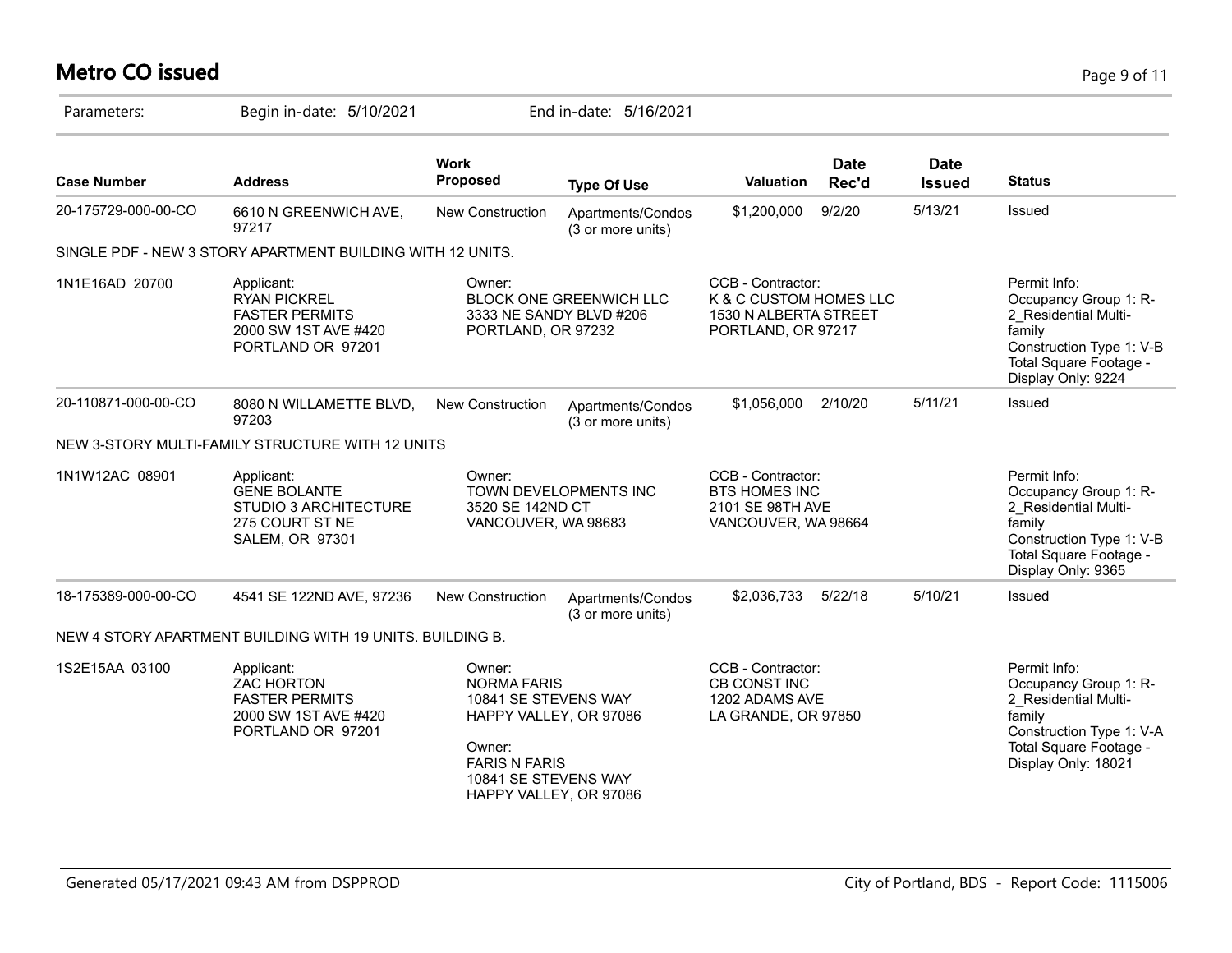# **Metro CO issued** Page 9 of 11

| Parameters:         | Begin in-date: 5/10/2021                                                                                       |                                                                                                                                                                    | End in-date: 5/16/2021                                    |                                                                                            |                      |                              |                                                                                                                                                      |
|---------------------|----------------------------------------------------------------------------------------------------------------|--------------------------------------------------------------------------------------------------------------------------------------------------------------------|-----------------------------------------------------------|--------------------------------------------------------------------------------------------|----------------------|------------------------------|------------------------------------------------------------------------------------------------------------------------------------------------------|
| <b>Case Number</b>  | <b>Address</b>                                                                                                 | <b>Work</b><br><b>Proposed</b>                                                                                                                                     | <b>Type Of Use</b>                                        | Valuation                                                                                  | <b>Date</b><br>Rec'd | <b>Date</b><br><b>Issued</b> | <b>Status</b>                                                                                                                                        |
| 20-175729-000-00-CO | 6610 N GREENWICH AVE,<br>97217                                                                                 | <b>New Construction</b>                                                                                                                                            | Apartments/Condos<br>(3 or more units)                    | \$1,200,000                                                                                | 9/2/20               | 5/13/21                      | Issued                                                                                                                                               |
|                     | SINGLE PDF - NEW 3 STORY APARTMENT BUILDING WITH 12 UNITS.                                                     |                                                                                                                                                                    |                                                           |                                                                                            |                      |                              |                                                                                                                                                      |
| 1N1E16AD 20700      | Applicant:<br><b>RYAN PICKREL</b><br><b>FASTER PERMITS</b><br>2000 SW 1ST AVE #420<br>PORTLAND OR 97201        | Owner:<br>PORTLAND, OR 97232                                                                                                                                       | <b>BLOCK ONE GREENWICH LLC</b><br>3333 NE SANDY BLVD #206 | CCB - Contractor:<br>K & C CUSTOM HOMES LLC<br>1530 N ALBERTA STREET<br>PORTLAND, OR 97217 |                      |                              | Permit Info:<br>Occupancy Group 1: R-<br>2 Residential Multi-<br>family<br>Construction Type 1: V-B<br>Total Square Footage -<br>Display Only: 9224  |
| 20-110871-000-00-CO | 8080 N WILLAMETTE BLVD,<br>97203                                                                               | <b>New Construction</b>                                                                                                                                            | Apartments/Condos<br>(3 or more units)                    | \$1,056,000                                                                                | 2/10/20              | 5/11/21                      | <b>Issued</b>                                                                                                                                        |
|                     | NEW 3-STORY MULTI-FAMILY STRUCTURE WITH 12 UNITS                                                               |                                                                                                                                                                    |                                                           |                                                                                            |                      |                              |                                                                                                                                                      |
| 1N1W12AC 08901      | Applicant:<br><b>GENE BOLANTE</b><br><b>STUDIO 3 ARCHITECTURE</b><br>275 COURT ST NE<br><b>SALEM, OR 97301</b> | Owner:<br>TOWN DEVELOPMENTS INC<br>3520 SE 142ND CT<br>VANCOUVER, WA 98683                                                                                         |                                                           | CCB - Contractor:<br><b>BTS HOMES INC</b><br>2101 SE 98TH AVE<br>VANCOUVER, WA 98664       |                      |                              | Permit Info:<br>Occupancy Group 1: R-<br>2 Residential Multi-<br>family<br>Construction Type 1: V-B<br>Total Square Footage -<br>Display Only: 9365  |
| 18-175389-000-00-CO | 4541 SE 122ND AVE, 97236                                                                                       | <b>New Construction</b>                                                                                                                                            | Apartments/Condos<br>(3 or more units)                    | \$2,036,733                                                                                | 5/22/18              | 5/10/21                      | Issued                                                                                                                                               |
|                     | NEW 4 STORY APARTMENT BUILDING WITH 19 UNITS. BUILDING B.                                                      |                                                                                                                                                                    |                                                           |                                                                                            |                      |                              |                                                                                                                                                      |
| 1S2E15AA 03100      | Applicant:<br><b>ZAC HORTON</b><br><b>FASTER PERMITS</b><br>2000 SW 1ST AVE #420<br>PORTLAND OR 97201          | Owner:<br><b>NORMA FARIS</b><br>10841 SE STEVENS WAY<br>HAPPY VALLEY, OR 97086<br>Owner:<br><b>FARIS N FARIS</b><br>10841 SE STEVENS WAY<br>HAPPY VALLEY, OR 97086 |                                                           | CCB - Contractor:<br><b>CB CONST INC</b><br>1202 ADAMS AVE<br>LA GRANDE, OR 97850          |                      |                              | Permit Info:<br>Occupancy Group 1: R-<br>2 Residential Multi-<br>family<br>Construction Type 1: V-A<br>Total Square Footage -<br>Display Only: 18021 |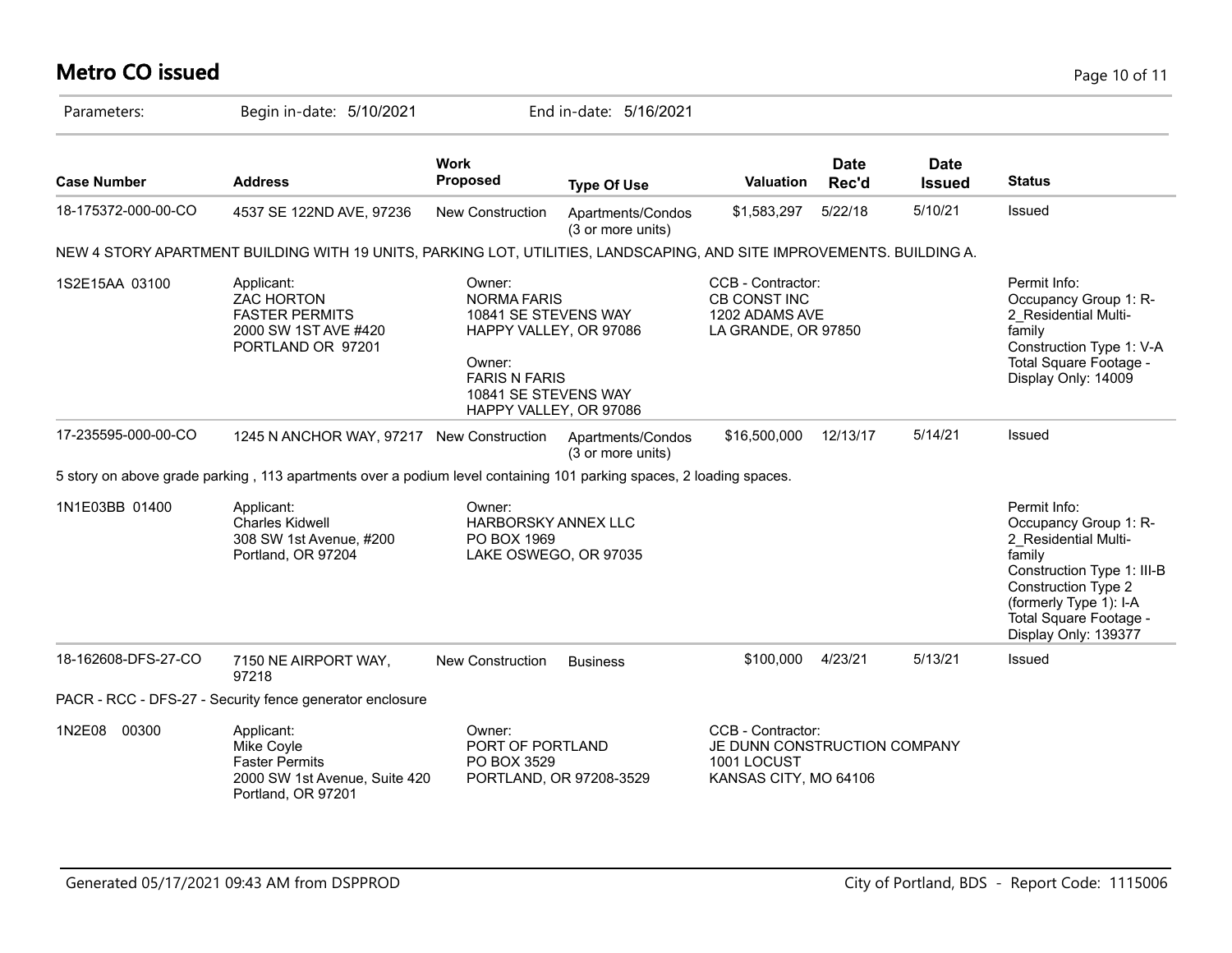# **Metro CO issued** Page 10 of 11

| Parameters:         | Begin in-date: 5/10/2021                                                                                              |                                                                                                                                                                    | End in-date: 5/16/2021                 |                                                                                           |                      |                              |                                                                                                                                                                                                                 |
|---------------------|-----------------------------------------------------------------------------------------------------------------------|--------------------------------------------------------------------------------------------------------------------------------------------------------------------|----------------------------------------|-------------------------------------------------------------------------------------------|----------------------|------------------------------|-----------------------------------------------------------------------------------------------------------------------------------------------------------------------------------------------------------------|
| <b>Case Number</b>  | <b>Address</b>                                                                                                        | <b>Work</b><br><b>Proposed</b>                                                                                                                                     | <b>Type Of Use</b>                     | Valuation                                                                                 | <b>Date</b><br>Rec'd | <b>Date</b><br><b>Issued</b> | <b>Status</b>                                                                                                                                                                                                   |
| 18-175372-000-00-CO | 4537 SE 122ND AVE, 97236                                                                                              | New Construction                                                                                                                                                   | Apartments/Condos<br>(3 or more units) | \$1,583,297                                                                               | 5/22/18              | 5/10/21                      | Issued                                                                                                                                                                                                          |
|                     | NEW 4 STORY APARTMENT BUILDING WITH 19 UNITS, PARKING LOT, UTILITIES, LANDSCAPING, AND SITE IMPROVEMENTS. BUILDING A. |                                                                                                                                                                    |                                        |                                                                                           |                      |                              |                                                                                                                                                                                                                 |
| 1S2E15AA 03100      | Applicant:<br><b>ZAC HORTON</b><br><b>FASTER PERMITS</b><br>2000 SW 1ST AVE #420<br>PORTLAND OR 97201                 | Owner:<br><b>NORMA FARIS</b><br>10841 SE STEVENS WAY<br>HAPPY VALLEY, OR 97086<br>Owner:<br><b>FARIS N FARIS</b><br>10841 SE STEVENS WAY<br>HAPPY VALLEY, OR 97086 |                                        | CCB - Contractor:<br><b>CB CONST INC</b><br>1202 ADAMS AVE<br>LA GRANDE, OR 97850         |                      |                              | Permit Info:<br>Occupancy Group 1: R-<br>2 Residential Multi-<br>family<br>Construction Type 1: V-A<br>Total Square Footage -<br>Display Only: 14009                                                            |
| 17-235595-000-00-CO | 1245 N ANCHOR WAY, 97217 New Construction                                                                             |                                                                                                                                                                    | Apartments/Condos<br>(3 or more units) | \$16,500,000                                                                              | 12/13/17             | 5/14/21                      | Issued                                                                                                                                                                                                          |
|                     | 5 story on above grade parking, 113 apartments over a podium level containing 101 parking spaces, 2 loading spaces.   |                                                                                                                                                                    |                                        |                                                                                           |                      |                              |                                                                                                                                                                                                                 |
| 1N1E03BB 01400      | Applicant:<br><b>Charles Kidwell</b><br>308 SW 1st Avenue, #200<br>Portland, OR 97204                                 | Owner:<br>HARBORSKY ANNEX LLC<br>PO BOX 1969<br>LAKE OSWEGO, OR 97035                                                                                              |                                        |                                                                                           |                      |                              | Permit Info:<br>Occupancy Group 1: R-<br>2_Residential Multi-<br>family<br>Construction Type 1: III-B<br><b>Construction Type 2</b><br>(formerly Type 1): I-A<br>Total Square Footage -<br>Display Only: 139377 |
| 18-162608-DFS-27-CO | 7150 NE AIRPORT WAY,<br>97218                                                                                         | <b>New Construction</b>                                                                                                                                            | <b>Business</b>                        | \$100,000                                                                                 | 4/23/21              | 5/13/21                      | Issued                                                                                                                                                                                                          |
|                     | PACR - RCC - DFS-27 - Security fence generator enclosure                                                              |                                                                                                                                                                    |                                        |                                                                                           |                      |                              |                                                                                                                                                                                                                 |
| 1N2E08 00300        | Applicant:<br>Mike Coyle<br><b>Faster Permits</b><br>2000 SW 1st Avenue, Suite 420<br>Portland, OR 97201              | Owner:<br>PORT OF PORTLAND<br>PO BOX 3529                                                                                                                          | PORTLAND, OR 97208-3529                | CCB - Contractor:<br>JE DUNN CONSTRUCTION COMPANY<br>1001 LOCUST<br>KANSAS CITY, MO 64106 |                      |                              |                                                                                                                                                                                                                 |